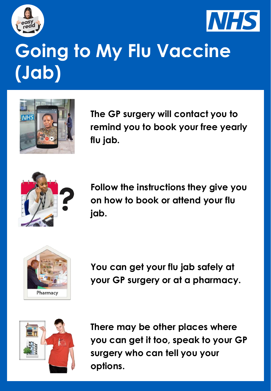



## **Going to My Flu Vaccine (Jab)**



**The GP surgery will contact you to remind you to book your free yearly flu jab.**



**Follow the instructions they give you on how to book or attend your flu jab.**



**You can get your flu jab safely at your GP surgery or at a pharmacy.**



**There may be other places where you can get it too, speak to your GP surgery who can tell you your options.**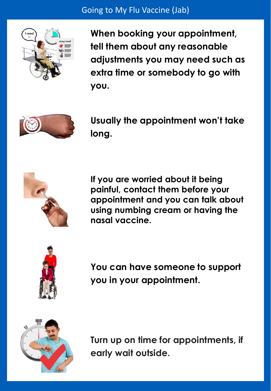## Going to My Flu Vaccine (Jab)



**When booking your appointment, tell them about any reasonable adjustments you may need such as extra time or somebody to go with you.**



**Usually the appointment won't take long.** 



**If you are worried about it being painful, contact them before your appointment and you can talk about using numbing cream or having the nasal vaccine.** 



**You can have someone to support you in your appointment.** 



**Turn up on time for appointments, if early wait outside.**